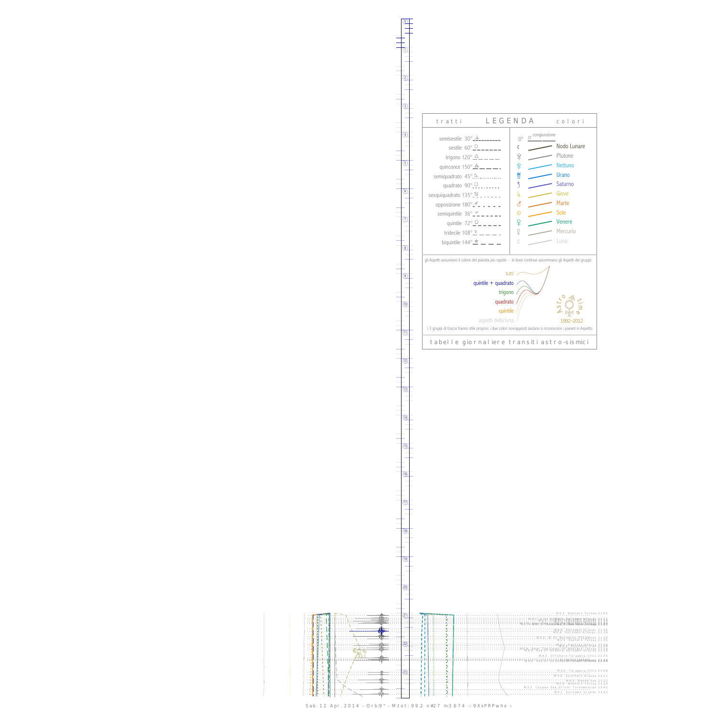$\mathbb{I}$